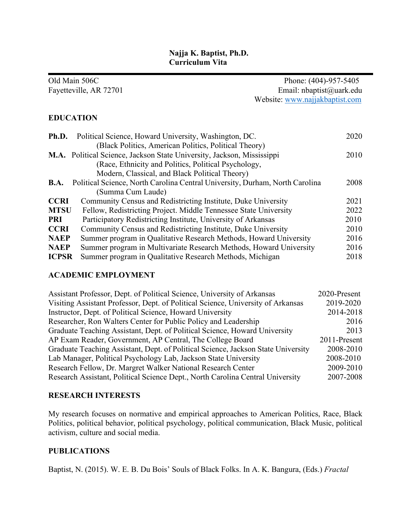### **Najja K. Baptist, Ph.D. Curriculum Vita**

|              | Old Main 506C                                                                | Phone: (404)-957-5405          |
|--------------|------------------------------------------------------------------------------|--------------------------------|
|              | Fayetteville, AR 72701                                                       | Email: nbaptist@uark.edu       |
|              |                                                                              | Website: www.najjakbaptist.com |
|              | <b>EDUCATION</b>                                                             |                                |
| Ph.D.        | Political Science, Howard University, Washington, DC.                        | 2020                           |
|              | (Black Politics, American Politics, Political Theory)                        |                                |
|              | M.A. Political Science, Jackson State University, Jackson, Mississippi       | 2010                           |
|              | (Race, Ethnicity and Politics, Political Psychology,                         |                                |
|              | Modern, Classical, and Black Political Theory)                               |                                |
| B.A.         | Political Science, North Carolina Central University, Durham, North Carolina | 2008                           |
|              | (Summa Cum Laude)                                                            |                                |
| <b>CCRI</b>  | Community Census and Redistricting Institute, Duke University                | 2021                           |
| <b>MTSU</b>  | Fellow, Redistricting Project. Middle Tennessee State University             | 2022                           |
| <b>PRI</b>   | Participatory Redistricting Institute, University of Arkansas                | 2010                           |
| <b>CCRI</b>  | Community Census and Redistricting Institute, Duke University                | 2010                           |
| <b>NAEP</b>  | Summer program in Qualitative Research Methods, Howard University            | 2016                           |
| <b>NAEP</b>  | Summer program in Multivariate Research Methods, Howard University           | 2016                           |
| <b>ICPSR</b> | Summer program in Qualitative Research Methods, Michigan                     | 2018                           |

#### **ACADEMIC EMPLOYMENT**

| Assistant Professor, Dept. of Political Science, University of Arkansas           | 2020-Present |
|-----------------------------------------------------------------------------------|--------------|
| Visiting Assistant Professor, Dept. of Political Science, University of Arkansas  | 2019-2020    |
| Instructor, Dept. of Political Science, Howard University                         | 2014-2018    |
| Researcher, Ron Walters Center for Public Policy and Leadership                   | 2016         |
| Graduate Teaching Assistant, Dept. of Political Science, Howard University        | 2013         |
| AP Exam Reader, Government, AP Central, The College Board                         | 2011-Present |
| Graduate Teaching Assistant, Dept. of Political Science, Jackson State University | 2008-2010    |
| Lab Manager, Political Psychology Lab, Jackson State University                   | 2008-2010    |
| Research Fellow, Dr. Margret Walker National Research Center                      | 2009-2010    |
| Research Assistant, Political Science Dept., North Carolina Central University    | 2007-2008    |

# **RESEARCH INTERESTS**

My research focuses on normative and empirical approaches to American Politics, Race, Black Politics, political behavior, political psychology, political communication, Black Music, political activism, culture and social media.

### **PUBLICATIONS**

Baptist, N. (2015). W. E. B. Du Bois' Souls of Black Folks. In A. K. Bangura, (Eds.) *Fractal*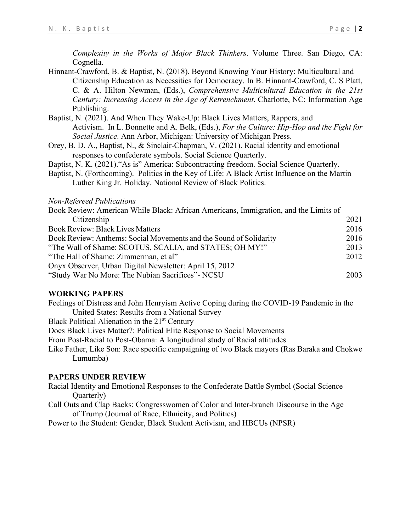*Complexity in the Works of Major Black Thinkers*. Volume Three. San Diego, CA: Cognella.

- Hinnant-Crawford, B. & Baptist, N. (2018). Beyond Knowing Your History: Multicultural and Citizenship Education as Necessities for Democracy. In B. Hinnant-Crawford, C. S Platt, C. & A. Hilton Newman, (Eds.), *Comprehensive Multicultural Education in the 21st Century: Increasing Access in the Age of Retrenchment*. Charlotte, NC: Information Age Publishing.
- Baptist, N. (2021). And When They Wake-Up: Black Lives Matters, Rappers, and Activism. In L. Bonnette and A. Belk, (Eds.), *For the Culture: Hip-Hop and the Fight for Social Justice*. Ann Arbor, Michigan: University of Michigan Press.
- Orey, B. D. A., Baptist, N., & Sinclair‐Chapman, V. (2021). Racial identity and emotional responses to confederate symbols. Social Science Quarterly.
- Baptist, N. K. (2021)."As is" America: Subcontracting freedom. Social Science Quarterly.
- Baptist, N. (Forthcoming). Politics in the Key of Life: A Black Artist Influence on the Martin Luther King Jr. Holiday. National Review of Black Politics.

#### *Non-Refereed Publications*

| Book Review: American While Black: African Americans, Immigration, and the Limits of |      |
|--------------------------------------------------------------------------------------|------|
| Citizenship                                                                          | 2021 |
| <b>Book Review: Black Lives Matters</b>                                              | 2016 |
| Book Review: Anthems: Social Movements and the Sound of Solidarity                   | 2016 |
| "The Wall of Shame: SCOTUS, SCALIA, and STATES; OH MY!"                              | 2013 |
| "The Hall of Shame: Zimmerman, et al"                                                | 2012 |
| Onyx Observer, Urban Digital Newsletter: April 15, 2012                              |      |
| "Study War No More: The Nubian Sacrifices"- NCSU                                     | 2003 |

#### **WORKING PAPERS**

Feelings of Distress and John Henryism Active Coping during the COVID-19 Pandemic in the United States: Results from a National Survey

Black Political Alienation in the 21<sup>st</sup> Century

Does Black Lives Matter?: Political Elite Response to Social Movements

From Post-Racial to Post-Obama: A longitudinal study of Racial attitudes

Like Father, Like Son: Race specific campaigning of two Black mayors (Ras Baraka and Chokwe Lumumba)

#### **PAPERS UNDER REVIEW**

- Racial Identity and Emotional Responses to the Confederate Battle Symbol (Social Science Quarterly)
- Call Outs and Clap Backs: Congresswomen of Color and Inter-branch Discourse in the Age of Trump (Journal of Race, Ethnicity, and Politics)

Power to the Student: Gender, Black Student Activism, and HBCUs (NPSR)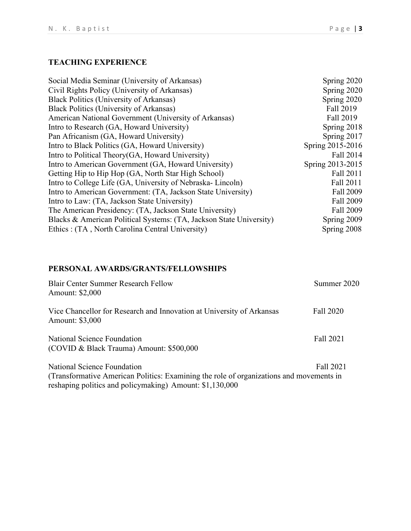# **TEACHING EXPERIENCE**

| Social Media Seminar (University of Arkansas)                       | Spring 2020      |
|---------------------------------------------------------------------|------------------|
| Civil Rights Policy (University of Arkansas)                        | Spring 2020      |
| <b>Black Politics (University of Arkansas)</b>                      | Spring 2020      |
| Black Politics (University of Arkansas)                             | Fall 2019        |
| American National Government (University of Arkansas)               | Fall 2019        |
| Intro to Research (GA, Howard University)                           | Spring 2018      |
| Pan Africanism (GA, Howard University)                              | Spring 2017      |
| Intro to Black Politics (GA, Howard University)                     | Spring 2015-2016 |
| Intro to Political Theory (GA, Howard University)                   | Fall 2014        |
| Intro to American Government (GA, Howard University)                | Spring 2013-2015 |
| Getting Hip to Hip Hop (GA, North Star High School)                 | Fall 2011        |
| Intro to College Life (GA, University of Nebraska-Lincoln)          | Fall 2011        |
| Intro to American Government: (TA, Jackson State University)        | Fall 2009        |
| Intro to Law: (TA, Jackson State University)                        | Fall 2009        |
| The American Presidency: (TA, Jackson State University)             | Fall 2009        |
| Blacks & American Political Systems: (TA, Jackson State University) | Spring 2009      |
| Ethics: (TA, North Carolina Central University)                     | Spring 2008      |

# **PERSONAL AWARDS/GRANTS/FELLOWSHIPS**

| <b>Blair Center Summer Research Fellow</b><br>Amount: \$2,000                                                                                                                      | Summer 2020 |
|------------------------------------------------------------------------------------------------------------------------------------------------------------------------------------|-------------|
| Vice Chancellor for Research and Innovation at University of Arkansas<br><b>Amount: \$3,000</b>                                                                                    | Fall 2020   |
| National Science Foundation<br>(COVID & Black Trauma) Amount: \$500,000                                                                                                            | Fall 2021   |
| National Science Foundation<br>(Transformative American Politics: Examining the role of organizations and movements in<br>reshaping politics and policymaking) Amount: \$1,130,000 | Fall 2021   |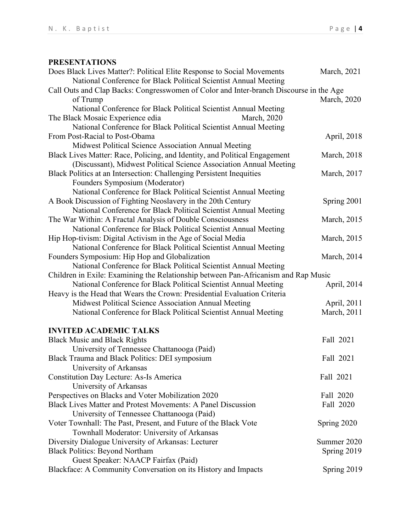### **PRESENTATIONS**

| Does Black Lives Matter?: Political Elite Response to Social Movements                 | March, 2021         |
|----------------------------------------------------------------------------------------|---------------------|
| National Conference for Black Political Scientist Annual Meeting                       |                     |
| Call Outs and Clap Backs: Congresswomen of Color and Inter-branch Discourse in the Age |                     |
| of Trump                                                                               | March, 2020         |
| National Conference for Black Political Scientist Annual Meeting                       |                     |
| The Black Mosaic Experience edia<br><b>March</b> , 2020                                |                     |
| National Conference for Black Political Scientist Annual Meeting                       |                     |
| From Post-Racial to Post-Obama                                                         | April, 2018         |
| Midwest Political Science Association Annual Meeting                                   |                     |
| Black Lives Matter: Race, Policing, and Identity, and Political Engagement             | <b>March</b> , 2018 |
| (Discussant), Midwest Political Science Association Annual Meeting                     |                     |
| Black Politics at an Intersection: Challenging Persistent Inequities                   | March, 2017         |
| Founders Symposium (Moderator)                                                         |                     |
| National Conference for Black Political Scientist Annual Meeting                       |                     |
| A Book Discussion of Fighting Neoslavery in the 20th Century                           | Spring 2001         |
| National Conference for Black Political Scientist Annual Meeting                       |                     |
| The War Within: A Fractal Analysis of Double Consciousness                             | <b>March</b> , 2015 |
| National Conference for Black Political Scientist Annual Meeting                       |                     |
| Hip Hop-tivism: Digital Activism in the Age of Social Media                            | <b>March</b> , 2015 |
| National Conference for Black Political Scientist Annual Meeting                       |                     |
| Founders Symposium: Hip Hop and Globalization                                          | <b>March</b> , 2014 |
| National Conference for Black Political Scientist Annual Meeting                       |                     |
| Children in Exile: Examining the Relationship between Pan-Africanism and Rap Music     |                     |
| National Conference for Black Political Scientist Annual Meeting                       | April, 2014         |
| Heavy is the Head that Wears the Crown: Presidential Evaluation Criteria               |                     |
| Midwest Political Science Association Annual Meeting                                   | April, 2011         |
| National Conference for Black Political Scientist Annual Meeting                       | March, 2011         |
| <b>INVITED ACADEMIC TALKS</b>                                                          |                     |
| <b>Black Music and Black Rights</b>                                                    | Fall 2021           |
| University of Tennessee Chattanooga (Paid)                                             |                     |
| Black Trauma and Black Politics: DEI symposium                                         | Fall 2021           |
| University of Arkansas                                                                 |                     |
| <b>Constitution Day Lecture: As-Is America</b>                                         | Fall 2021           |
| University of Arkansas                                                                 |                     |
| Perspectives on Blacks and Voter Mobilization 2020                                     | Fall 2020           |
| <b>Black Lives Matter and Protest Movements: A Panel Discussion</b>                    | Fall 2020           |
| University of Tennessee Chattanooga (Paid)                                             |                     |
| Voter Townhall: The Past, Present, and Future of the Black Vote                        | Spring 2020         |
| Townhall Moderator: University of Arkansas                                             |                     |
| Diversity Dialogue University of Arkansas: Lecturer                                    | Summer 2020         |
| <b>Black Politics: Beyond Northam</b>                                                  | Spring 2019         |
| Guest Speaker: NAACP Fairfax (Paid)                                                    |                     |
| Blackface: A Community Conversation on its History and Impacts                         | Spring 2019         |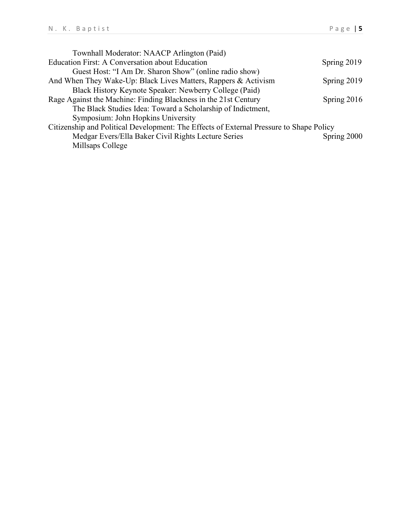| Townhall Moderator: NAACP Arlington (Paid)                                              |             |
|-----------------------------------------------------------------------------------------|-------------|
| <b>Education First: A Conversation about Education</b>                                  | Spring 2019 |
| Guest Host: "I Am Dr. Sharon Show" (online radio show)                                  |             |
| And When They Wake-Up: Black Lives Matters, Rappers & Activism                          | Spring 2019 |
| Black History Keynote Speaker: Newberry College (Paid)                                  |             |
| Rage Against the Machine: Finding Blackness in the 21st Century                         | Spring 2016 |
| The Black Studies Idea: Toward a Scholarship of Indictment,                             |             |
| Symposium: John Hopkins University                                                      |             |
| Citizenship and Political Development: The Effects of External Pressure to Shape Policy |             |
| Medgar Evers/Ella Baker Civil Rights Lecture Series                                     | Spring 2000 |
| Millsaps College                                                                        |             |
|                                                                                         |             |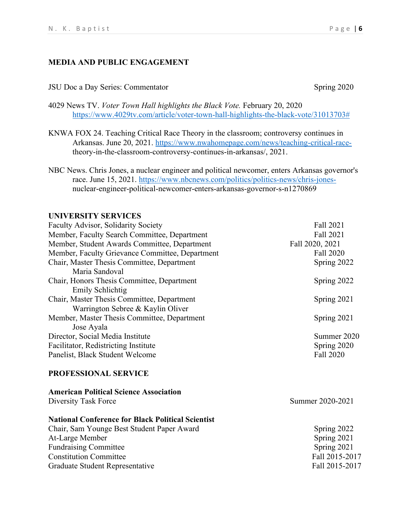#### **MEDIA AND PUBLIC ENGAGEMENT**

#### JSU Doc a Day Series: Commentator Spring 2020

- 4029 News TV. *Voter Town Hall highlights the Black Vote.* February 20, 2020 [https://www.4029tv.com/article/voter-town-hall-highlights-the-black-vote/31013703#](https://www.4029tv.com/article/voter-town-hall-highlights-the-black-vote/31013703)
- KNWA FOX 24. Teaching Critical Race Theory in the classroom; controversy continues in Arkansas. June 20, 2021. [https://www.nwahomepage.com/news/teaching-critical-race](https://www.nwahomepage.com/news/teaching-critical-race-)theory-in-the-classroom-controversy-continues-in-arkansas/, 2021.
- NBC News. Chris Jones, a nuclear engineer and political newcomer, enters Arkansas governor's race. June 15, 2021. [https://www.nbcnews.com/politics/politics-news/chris-jones](https://www.nbcnews.com/politics/politics-news/chris-jones-)nuclear-engineer-political-newcomer-enters-arkansas-governor-s-n1270869

#### **UNIVERSITY SERVICES**

| Faculty Advisor, Solidarity Society             | Fall 2021       |
|-------------------------------------------------|-----------------|
| Member, Faculty Search Committee, Department    | Fall 2021       |
| Member, Student Awards Committee, Department    | Fall 2020, 2021 |
| Member, Faculty Grievance Committee, Department | Fall 2020       |
| Chair, Master Thesis Committee, Department      | Spring 2022     |
| Maria Sandoval                                  |                 |
| Chair, Honors Thesis Committee, Department      | Spring 2022     |
| Emily Schlichtig                                |                 |
| Chair, Master Thesis Committee, Department      | Spring 2021     |
| Warrington Sebree & Kaylin Oliver               |                 |
| Member, Master Thesis Committee, Department     | Spring 2021     |
| Jose Ayala                                      |                 |
| Director, Social Media Institute                | Summer 2020     |
| Facilitator, Redistricting Institute            | Spring 2020     |
| Panelist, Black Student Welcome                 | Fall 2020       |
| <b>PROFESSIONAL SERVICE</b>                     |                 |

# **American Political Science Association** Diversity Task Force Summer 2020-2021 **National Conference for Black Political Scientist**  Chair, Sam Younge Best Student Paper Award Spring 2022 At-Large Member Spring 2021 Fundraising Committee Spring 2021 Constitution Committee Fall 2015-2017 Graduate Student Representative Fall 2015-2017